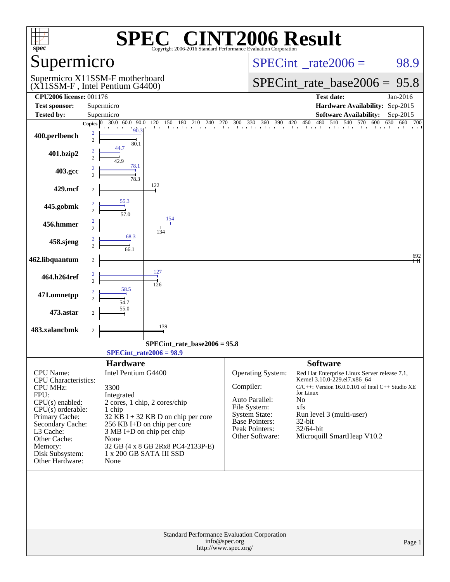| $spec^*$                                 | $\mathbf{P}(\mathbb{R})$                                                                                     | <b>NT2006 Result</b><br>Copyright 2006-2016 Standard Performance Evaluation Corporation |                                                                                 |
|------------------------------------------|--------------------------------------------------------------------------------------------------------------|-----------------------------------------------------------------------------------------|---------------------------------------------------------------------------------|
| Supermicro                               |                                                                                                              |                                                                                         | $SPECint^{\circ}$ rate $2006 =$<br>98.9                                         |
|                                          | Supermicro X11SSM-F motherboard<br>(X11SSM-F, Intel Pentium G4400)                                           |                                                                                         | $SPECint_rate\_base2006 =$<br>95.8                                              |
| <b>CPU2006 license: 001176</b>           |                                                                                                              |                                                                                         | <b>Test date:</b><br>Jan-2016                                                   |
| <b>Test sponsor:</b>                     | Supermicro                                                                                                   |                                                                                         | Hardware Availability: Sep-2015                                                 |
| <b>Tested by:</b>                        | Supermicro<br>90.0                                                                                           |                                                                                         | <b>Software Availability:</b><br>Sep-2015<br>480<br>510 540 570 600             |
| 400.perlbench                            | 30.0 60.0<br>Copies $ 0\rangle$<br>$\frac{1}{2}$ $\frac{1}{2}$ $\frac{1}{20}$<br>2<br>$\overline{c}$<br>80.1 |                                                                                         | 120 150 180 210 240 270 300 330 360 390 420 450 480 510 540 570 600 630 660 700 |
| 401.bzip2                                | 44.7<br>2<br>42.9                                                                                            |                                                                                         |                                                                                 |
| 403.gcc                                  | 78.1<br>$\overline{c}$<br>78.3                                                                               |                                                                                         |                                                                                 |
| 429.mcf                                  | 122<br>$\boldsymbol{2}$                                                                                      |                                                                                         |                                                                                 |
| 445.gobmk                                | 55.3<br>2<br>$\mathfrak{2}$<br>57.0<br>154                                                                   |                                                                                         |                                                                                 |
| 456.hmmer                                | $\overline{\mathbf{c}}$<br>$\overline{c}$<br>134<br>68.3                                                     |                                                                                         |                                                                                 |
| 458.sjeng                                | $\overline{\mathbf{c}}$<br>$\overline{c}$<br>66.1                                                            |                                                                                         |                                                                                 |
| 462.libquantum                           | $\boldsymbol{2}$<br>127                                                                                      |                                                                                         | 692                                                                             |
| 464.h264ref                              | $\overline{2}$<br>$\overline{c}$<br>126<br>58.5                                                              |                                                                                         |                                                                                 |
| 471.omnetpp                              | 2<br>$\overline{c}$<br>54.7<br>55.0                                                                          |                                                                                         |                                                                                 |
| 473.astar                                | 2<br>139                                                                                                     |                                                                                         |                                                                                 |
| 483.xalancbmk                            | $\sqrt{2}$                                                                                                   |                                                                                         |                                                                                 |
|                                          | $SPECint_rate2006 = 98.9$                                                                                    | $SPECint_rate_base2006 = 95.8$                                                          |                                                                                 |
|                                          | <b>Hardware</b>                                                                                              |                                                                                         | <b>Software</b>                                                                 |
| CPU Name:<br><b>CPU</b> Characteristics: | Intel Pentium G4400                                                                                          | Operating System:                                                                       | Red Hat Enterprise Linux Server release 7.1,<br>Kernel 3.10.0-229.el7.x86_64    |
| <b>CPU MHz:</b>                          | 3300                                                                                                         | Compiler:                                                                               | $C/C++$ : Version 16.0.0.101 of Intel $C++$ Studio XE                           |
| FPU:<br>$CPU(s)$ enabled:                | Integrated<br>2 cores, 1 chip, 2 cores/chip                                                                  | Auto Parallel:                                                                          | for Linux<br>No                                                                 |
| $CPU(s)$ orderable:                      | 1 chip                                                                                                       | File System:                                                                            | xfs                                                                             |
| Primary Cache:                           | $32$ KB I + 32 KB D on chip per core                                                                         | <b>System State:</b><br>Base Pointers:                                                  | Run level 3 (multi-user)<br>32-bit                                              |
| Secondary Cache:<br>L3 Cache:            | 256 KB I+D on chip per core<br>3 MB I+D on chip per chip                                                     | Peak Pointers:                                                                          | $32/64$ -bit                                                                    |
| Other Cache:                             | None                                                                                                         | Other Software:                                                                         | Microquill SmartHeap V10.2                                                      |
| Memory:<br>Disk Subsystem:               | 32 GB (4 x 8 GB 2Rx8 PC4-2133P-E)<br>1 x 200 GB SATA III SSD                                                 |                                                                                         |                                                                                 |
| Other Hardware:                          | None                                                                                                         |                                                                                         |                                                                                 |
|                                          |                                                                                                              |                                                                                         |                                                                                 |
|                                          |                                                                                                              | Standard Performance Evaluation Corporation<br>info@spec.org<br>http://www.spec.org/    | Page 1                                                                          |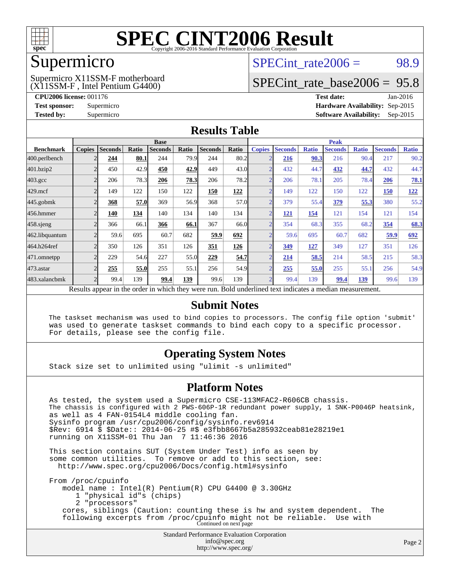

### Supermicro

(X11SSM-F , Intel Pentium G4400) Supermicro X11SSM-F motherboard  $SPECint rate2006 = 98.9$ 

### [SPECint\\_rate\\_base2006 =](http://www.spec.org/auto/cpu2006/Docs/result-fields.html#SPECintratebase2006) 95.8

**[CPU2006 license:](http://www.spec.org/auto/cpu2006/Docs/result-fields.html#CPU2006license)** 001176 **[Test date:](http://www.spec.org/auto/cpu2006/Docs/result-fields.html#Testdate)** Jan-2016 **[Test sponsor:](http://www.spec.org/auto/cpu2006/Docs/result-fields.html#Testsponsor)** Supermicro **[Hardware Availability:](http://www.spec.org/auto/cpu2006/Docs/result-fields.html#HardwareAvailability)** Sep-2015 **[Tested by:](http://www.spec.org/auto/cpu2006/Docs/result-fields.html#Testedby)** Supermicro **Supermicro [Software Availability:](http://www.spec.org/auto/cpu2006/Docs/result-fields.html#SoftwareAvailability)** Sep-2015

### **[Results Table](http://www.spec.org/auto/cpu2006/Docs/result-fields.html#ResultsTable)**

|                    |               | <b>Base</b>    |       |                                                                                                         |       |                | <b>Peak</b> |                |                |              |                |              |                |              |
|--------------------|---------------|----------------|-------|---------------------------------------------------------------------------------------------------------|-------|----------------|-------------|----------------|----------------|--------------|----------------|--------------|----------------|--------------|
| <b>Benchmark</b>   | <b>Copies</b> | <b>Seconds</b> | Ratio | <b>Seconds</b>                                                                                          | Ratio | <b>Seconds</b> | Ratio       | <b>Copies</b>  | <b>Seconds</b> | <b>Ratio</b> | <b>Seconds</b> | <b>Ratio</b> | <b>Seconds</b> | <b>Ratio</b> |
| 400.perlbench      |               | 244            | 80.1  | 244                                                                                                     | 79.9  | 244            | 80.2        | $\overline{2}$ | 216            | 90.3         | 216            | 90.4         | 217            | 90.2         |
| 401.bzip2          |               | 450            | 42.9  | 450                                                                                                     | 42.9  | 449            | 43.0        | ⌒              | 432            | 44.7         | 432            | 44.7         | 432            | 44.7         |
| $403.\mathrm{gcc}$ |               | 206            | 78.3  | 206                                                                                                     | 78.3  | 206            | 78.2        | $\overline{2}$ | 206            | 78.1         | 205            | 78.4         | 206            | 78.1         |
| $429$ .mcf         |               | 149            | 122   | 150                                                                                                     | 122   | 150            | 122         | $\overline{2}$ | 149            | 122          | 150            | 122          | <b>150</b>     | 122          |
| $445$ .gobmk       |               | 368            | 57.0  | 369                                                                                                     | 56.9  | 368            | 57.0        | $\overline{2}$ | 379            | 55.4         | 379            | 55.3         | 380            | 55.2         |
| 456.hmmer          |               | 140            | 134   | 140                                                                                                     | 134   | 140            | 134         | ⌒              | <u>121</u>     | <u>154</u>   | 121            | 154          | 121            | 154          |
| $458$ .sjeng       |               | 366            | 66.1  | 366                                                                                                     | 66.1  | 367            | 66.0        | $\overline{2}$ | 354            | 68.3         | 355            | 68.2         | 354            | 68.3         |
| 462.libquantum     |               | 59.6           | 695   | 60.7                                                                                                    | 682   | 59.9           | 692         | ⌒              | 59.6           | 695          | 60.7           | 682          | 59.9           | 692          |
| 464.h264ref        |               | 350            | 126   | 351                                                                                                     | 126   | 351            | 126         | $\bigcap$      | 349            | <u>127</u>   | 349            | 127          | 351            | 126          |
| 471.omnetpp        |               | 229            | 54.6  | 227                                                                                                     | 55.0  | 229            | 54.7        | $\overline{2}$ | <u>214</u>     | 58.5         | 214            | 58.5         | 215            | 58.3         |
| $473$ . astar      |               | 255            | 55.0  | 255                                                                                                     | 55.1  | 256            | 54.9        | $\overline{2}$ | 255            | 55.0         | 255            | 55.1         | 256            | 54.9         |
| 483.xalancbmk      |               | 99.4           | 139   | 99.4                                                                                                    | 139   | 99.6           | 139         | $\overline{2}$ | 99.4           | 139          | 99.4           | 139          | 99.6           | 139          |
|                    |               |                |       | Doculte appear in the order in which they were run. Rold underlined text indicates a modian measurement |       |                |             |                |                |              |                |              |                |              |

Results appear in the [order in which they were run.](http://www.spec.org/auto/cpu2006/Docs/result-fields.html#RunOrder) Bold underlined text [indicates a median measurement.](http://www.spec.org/auto/cpu2006/Docs/result-fields.html#Median)

#### **[Submit Notes](http://www.spec.org/auto/cpu2006/Docs/result-fields.html#SubmitNotes)**

 The taskset mechanism was used to bind copies to processors. The config file option 'submit' was used to generate taskset commands to bind each copy to a specific processor. For details, please see the config file.

### **[Operating System Notes](http://www.spec.org/auto/cpu2006/Docs/result-fields.html#OperatingSystemNotes)**

Stack size set to unlimited using "ulimit -s unlimited"

#### **[Platform Notes](http://www.spec.org/auto/cpu2006/Docs/result-fields.html#PlatformNotes)**

Standard Performance Evaluation Corporation [info@spec.org](mailto:info@spec.org) As tested, the system used a Supermicro CSE-113MFAC2-R606CB chassis. The chassis is configured with 2 PWS-606P-1R redundant power supply, 1 SNK-P0046P heatsink, as well as 4 FAN-0154L4 middle cooling fan. Sysinfo program /usr/cpu2006/config/sysinfo.rev6914 \$Rev: 6914 \$ \$Date:: 2014-06-25 #\$ e3fbb8667b5a285932ceab81e28219e1 running on X11SSM-01 Thu Jan 7 11:46:36 2016 This section contains SUT (System Under Test) info as seen by some common utilities. To remove or add to this section, see: <http://www.spec.org/cpu2006/Docs/config.html#sysinfo> From /proc/cpuinfo model name : Intel(R) Pentium(R) CPU G4400 @ 3.30GHz 1 "physical id"s (chips) 2 "processors" cores, siblings (Caution: counting these is hw and system dependent. The following excerpts from /proc/cpuinfo might not be reliable. Use with Continued on next page

<http://www.spec.org/>

Page 2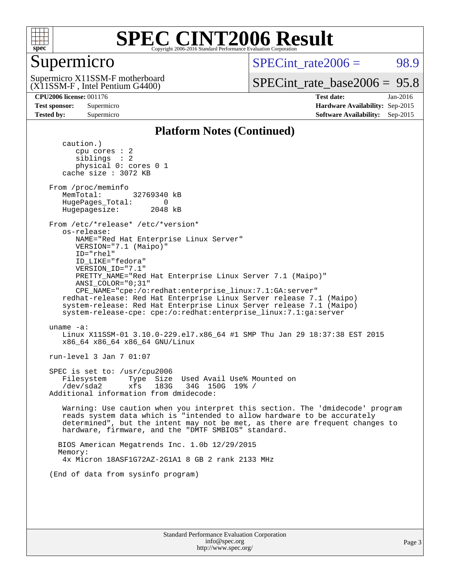

### Supermicro

 $SPECint rate2006 = 98.9$ 

(X11SSM-F , Intel Pentium G4400) Supermicro X11SSM-F motherboard

[SPECint\\_rate\\_base2006 =](http://www.spec.org/auto/cpu2006/Docs/result-fields.html#SPECintratebase2006) 95.8

**[CPU2006 license:](http://www.spec.org/auto/cpu2006/Docs/result-fields.html#CPU2006license)** 001176 **[Test date:](http://www.spec.org/auto/cpu2006/Docs/result-fields.html#Testdate)** Jan-2016 **[Test sponsor:](http://www.spec.org/auto/cpu2006/Docs/result-fields.html#Testsponsor)** Supermicro **[Hardware Availability:](http://www.spec.org/auto/cpu2006/Docs/result-fields.html#HardwareAvailability)** Sep-2015 **[Tested by:](http://www.spec.org/auto/cpu2006/Docs/result-fields.html#Testedby)** Supermicro **Supermicro [Software Availability:](http://www.spec.org/auto/cpu2006/Docs/result-fields.html#SoftwareAvailability)** Sep-2015

#### **[Platform Notes \(Continued\)](http://www.spec.org/auto/cpu2006/Docs/result-fields.html#PlatformNotes)**

 caution.) cpu cores : 2 siblings : 2 physical 0: cores 0 1 cache size : 3072 KB From /proc/meminfo MemTotal: 32769340 kB HugePages\_Total: 0<br>Hugepagesize: 2048 kB Hugepagesize: From /etc/\*release\* /etc/\*version\* os-release: NAME="Red Hat Enterprise Linux Server" VERSION="7.1 (Maipo)" ID="rhel" ID\_LIKE="fedora" VERSION\_ID="7.1" PRETTY\_NAME="Red Hat Enterprise Linux Server 7.1 (Maipo)" ANSI\_COLOR="0;31" CPE\_NAME="cpe:/o:redhat:enterprise\_linux:7.1:GA:server" redhat-release: Red Hat Enterprise Linux Server release 7.1 (Maipo) system-release: Red Hat Enterprise Linux Server release 7.1 (Maipo) system-release-cpe: cpe:/o:redhat:enterprise\_linux:7.1:ga:server uname -a: Linux X11SSM-01 3.10.0-229.el7.x86\_64 #1 SMP Thu Jan 29 18:37:38 EST 2015 x86\_64 x86\_64 x86\_64 GNU/Linux run-level 3 Jan 7 01:07 SPEC is set to: /usr/cpu2006 Filesystem Type Size Used Avail Use% Mounted on /dev/sda2 xfs 183G 34G 150G 19% / Additional information from dmidecode: Warning: Use caution when you interpret this section. The 'dmidecode' program reads system data which is "intended to allow hardware to be accurately determined", but the intent may not be met, as there are frequent changes to hardware, firmware, and the "DMTF SMBIOS" standard. BIOS American Megatrends Inc. 1.0b 12/29/2015 Memory: 4x Micron 18ASF1G72AZ-2G1A1 8 GB 2 rank 2133 MHz (End of data from sysinfo program)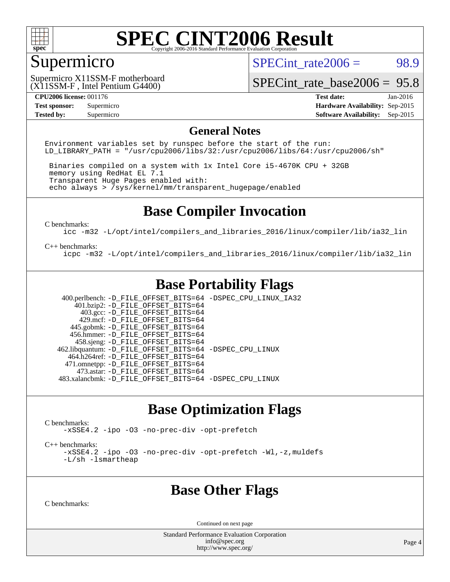

### Supermicro

SPECint rate $2006 = 98.9$ 

(X11SSM-F , Intel Pentium G4400) Supermicro X11SSM-F motherboard

[SPECint\\_rate\\_base2006 =](http://www.spec.org/auto/cpu2006/Docs/result-fields.html#SPECintratebase2006) 95.8

**[CPU2006 license:](http://www.spec.org/auto/cpu2006/Docs/result-fields.html#CPU2006license)** 001176 **[Test date:](http://www.spec.org/auto/cpu2006/Docs/result-fields.html#Testdate)** Jan-2016 **[Test sponsor:](http://www.spec.org/auto/cpu2006/Docs/result-fields.html#Testsponsor)** Supermicro **[Hardware Availability:](http://www.spec.org/auto/cpu2006/Docs/result-fields.html#HardwareAvailability)** Sep-2015 **[Tested by:](http://www.spec.org/auto/cpu2006/Docs/result-fields.html#Testedby)** Supermicro **Supermicro [Software Availability:](http://www.spec.org/auto/cpu2006/Docs/result-fields.html#SoftwareAvailability)** Sep-2015

#### **[General Notes](http://www.spec.org/auto/cpu2006/Docs/result-fields.html#GeneralNotes)**

Environment variables set by runspec before the start of the run: LD LIBRARY PATH = "/usr/cpu2006/libs/32:/usr/cpu2006/libs/64:/usr/cpu2006/sh"

 Binaries compiled on a system with 1x Intel Core i5-4670K CPU + 32GB memory using RedHat EL 7.1 Transparent Huge Pages enabled with: echo always > /sys/kernel/mm/transparent\_hugepage/enabled

### **[Base Compiler Invocation](http://www.spec.org/auto/cpu2006/Docs/result-fields.html#BaseCompilerInvocation)**

[C benchmarks](http://www.spec.org/auto/cpu2006/Docs/result-fields.html#Cbenchmarks):

[icc -m32 -L/opt/intel/compilers\\_and\\_libraries\\_2016/linux/compiler/lib/ia32\\_lin](http://www.spec.org/cpu2006/results/res2016q1/cpu2006-20160107-38631.flags.html#user_CCbase_intel_icc_e10256ba5924b668798078a321b0cb3f)

#### [C++ benchmarks:](http://www.spec.org/auto/cpu2006/Docs/result-fields.html#CXXbenchmarks)

[icpc -m32 -L/opt/intel/compilers\\_and\\_libraries\\_2016/linux/compiler/lib/ia32\\_lin](http://www.spec.org/cpu2006/results/res2016q1/cpu2006-20160107-38631.flags.html#user_CXXbase_intel_icpc_b4f50a394bdb4597aa5879c16bc3f5c5)

### **[Base Portability Flags](http://www.spec.org/auto/cpu2006/Docs/result-fields.html#BasePortabilityFlags)**

 400.perlbench: [-D\\_FILE\\_OFFSET\\_BITS=64](http://www.spec.org/cpu2006/results/res2016q1/cpu2006-20160107-38631.flags.html#user_basePORTABILITY400_perlbench_file_offset_bits_64_438cf9856305ebd76870a2c6dc2689ab) [-DSPEC\\_CPU\\_LINUX\\_IA32](http://www.spec.org/cpu2006/results/res2016q1/cpu2006-20160107-38631.flags.html#b400.perlbench_baseCPORTABILITY_DSPEC_CPU_LINUX_IA32)  $401.bzip2: -D$ FILE\_OFFSET\_BITS=64 403.gcc: [-D\\_FILE\\_OFFSET\\_BITS=64](http://www.spec.org/cpu2006/results/res2016q1/cpu2006-20160107-38631.flags.html#user_basePORTABILITY403_gcc_file_offset_bits_64_438cf9856305ebd76870a2c6dc2689ab) 429.mcf: [-D\\_FILE\\_OFFSET\\_BITS=64](http://www.spec.org/cpu2006/results/res2016q1/cpu2006-20160107-38631.flags.html#user_basePORTABILITY429_mcf_file_offset_bits_64_438cf9856305ebd76870a2c6dc2689ab) 445.gobmk: [-D\\_FILE\\_OFFSET\\_BITS=64](http://www.spec.org/cpu2006/results/res2016q1/cpu2006-20160107-38631.flags.html#user_basePORTABILITY445_gobmk_file_offset_bits_64_438cf9856305ebd76870a2c6dc2689ab) 456.hmmer: [-D\\_FILE\\_OFFSET\\_BITS=64](http://www.spec.org/cpu2006/results/res2016q1/cpu2006-20160107-38631.flags.html#user_basePORTABILITY456_hmmer_file_offset_bits_64_438cf9856305ebd76870a2c6dc2689ab) 458.sjeng: [-D\\_FILE\\_OFFSET\\_BITS=64](http://www.spec.org/cpu2006/results/res2016q1/cpu2006-20160107-38631.flags.html#user_basePORTABILITY458_sjeng_file_offset_bits_64_438cf9856305ebd76870a2c6dc2689ab) 462.libquantum: [-D\\_FILE\\_OFFSET\\_BITS=64](http://www.spec.org/cpu2006/results/res2016q1/cpu2006-20160107-38631.flags.html#user_basePORTABILITY462_libquantum_file_offset_bits_64_438cf9856305ebd76870a2c6dc2689ab) [-DSPEC\\_CPU\\_LINUX](http://www.spec.org/cpu2006/results/res2016q1/cpu2006-20160107-38631.flags.html#b462.libquantum_baseCPORTABILITY_DSPEC_CPU_LINUX) 464.h264ref: [-D\\_FILE\\_OFFSET\\_BITS=64](http://www.spec.org/cpu2006/results/res2016q1/cpu2006-20160107-38631.flags.html#user_basePORTABILITY464_h264ref_file_offset_bits_64_438cf9856305ebd76870a2c6dc2689ab) 471.omnetpp: [-D\\_FILE\\_OFFSET\\_BITS=64](http://www.spec.org/cpu2006/results/res2016q1/cpu2006-20160107-38631.flags.html#user_basePORTABILITY471_omnetpp_file_offset_bits_64_438cf9856305ebd76870a2c6dc2689ab) 473.astar: [-D\\_FILE\\_OFFSET\\_BITS=64](http://www.spec.org/cpu2006/results/res2016q1/cpu2006-20160107-38631.flags.html#user_basePORTABILITY473_astar_file_offset_bits_64_438cf9856305ebd76870a2c6dc2689ab) 483.xalancbmk: [-D\\_FILE\\_OFFSET\\_BITS=64](http://www.spec.org/cpu2006/results/res2016q1/cpu2006-20160107-38631.flags.html#user_basePORTABILITY483_xalancbmk_file_offset_bits_64_438cf9856305ebd76870a2c6dc2689ab) [-DSPEC\\_CPU\\_LINUX](http://www.spec.org/cpu2006/results/res2016q1/cpu2006-20160107-38631.flags.html#b483.xalancbmk_baseCXXPORTABILITY_DSPEC_CPU_LINUX)

### **[Base Optimization Flags](http://www.spec.org/auto/cpu2006/Docs/result-fields.html#BaseOptimizationFlags)**

[C benchmarks](http://www.spec.org/auto/cpu2006/Docs/result-fields.html#Cbenchmarks):

[-xSSE4.2](http://www.spec.org/cpu2006/results/res2016q1/cpu2006-20160107-38631.flags.html#user_CCbase_f-xSSE42_f91528193cf0b216347adb8b939d4107) [-ipo](http://www.spec.org/cpu2006/results/res2016q1/cpu2006-20160107-38631.flags.html#user_CCbase_f-ipo) [-O3](http://www.spec.org/cpu2006/results/res2016q1/cpu2006-20160107-38631.flags.html#user_CCbase_f-O3) [-no-prec-div](http://www.spec.org/cpu2006/results/res2016q1/cpu2006-20160107-38631.flags.html#user_CCbase_f-no-prec-div) [-opt-prefetch](http://www.spec.org/cpu2006/results/res2016q1/cpu2006-20160107-38631.flags.html#user_CCbase_f-opt-prefetch)

[C++ benchmarks:](http://www.spec.org/auto/cpu2006/Docs/result-fields.html#CXXbenchmarks)

[-xSSE4.2](http://www.spec.org/cpu2006/results/res2016q1/cpu2006-20160107-38631.flags.html#user_CXXbase_f-xSSE42_f91528193cf0b216347adb8b939d4107) [-ipo](http://www.spec.org/cpu2006/results/res2016q1/cpu2006-20160107-38631.flags.html#user_CXXbase_f-ipo) [-O3](http://www.spec.org/cpu2006/results/res2016q1/cpu2006-20160107-38631.flags.html#user_CXXbase_f-O3) [-no-prec-div](http://www.spec.org/cpu2006/results/res2016q1/cpu2006-20160107-38631.flags.html#user_CXXbase_f-no-prec-div) [-opt-prefetch](http://www.spec.org/cpu2006/results/res2016q1/cpu2006-20160107-38631.flags.html#user_CXXbase_f-opt-prefetch) [-Wl,-z,muldefs](http://www.spec.org/cpu2006/results/res2016q1/cpu2006-20160107-38631.flags.html#user_CXXbase_link_force_multiple1_74079c344b956b9658436fd1b6dd3a8a) [-L/sh -lsmartheap](http://www.spec.org/cpu2006/results/res2016q1/cpu2006-20160107-38631.flags.html#user_CXXbase_SmartHeap_32f6c82aa1ed9c52345d30cf6e4a0499)

### **[Base Other Flags](http://www.spec.org/auto/cpu2006/Docs/result-fields.html#BaseOtherFlags)**

[C benchmarks](http://www.spec.org/auto/cpu2006/Docs/result-fields.html#Cbenchmarks):

Continued on next page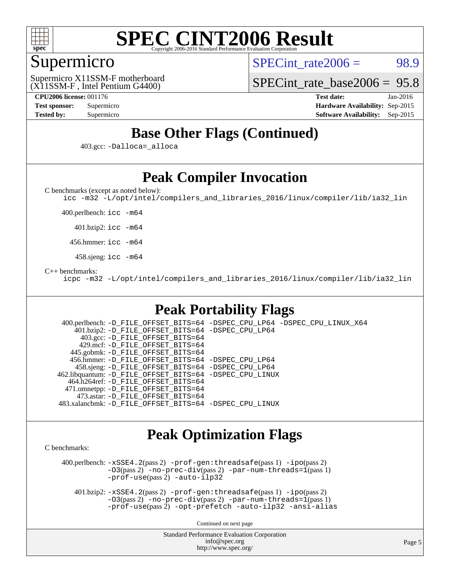

### Supermicro

 $SPECint rate2006 = 98.9$ 

(X11SSM-F , Intel Pentium G4400) Supermicro X11SSM-F motherboard

[SPECint\\_rate\\_base2006 =](http://www.spec.org/auto/cpu2006/Docs/result-fields.html#SPECintratebase2006) 95.8

**[CPU2006 license:](http://www.spec.org/auto/cpu2006/Docs/result-fields.html#CPU2006license)** 001176 **[Test date:](http://www.spec.org/auto/cpu2006/Docs/result-fields.html#Testdate)** Jan-2016 **[Test sponsor:](http://www.spec.org/auto/cpu2006/Docs/result-fields.html#Testsponsor)** Supermicro **[Hardware Availability:](http://www.spec.org/auto/cpu2006/Docs/result-fields.html#HardwareAvailability)** Sep-2015 **[Tested by:](http://www.spec.org/auto/cpu2006/Docs/result-fields.html#Testedby)** Supermicro **[Software Availability:](http://www.spec.org/auto/cpu2006/Docs/result-fields.html#SoftwareAvailability)** Sep-2015

### **[Base Other Flags \(Continued\)](http://www.spec.org/auto/cpu2006/Docs/result-fields.html#BaseOtherFlags)**

403.gcc: [-Dalloca=\\_alloca](http://www.spec.org/cpu2006/results/res2016q1/cpu2006-20160107-38631.flags.html#b403.gcc_baseEXTRA_CFLAGS_Dalloca_be3056838c12de2578596ca5467af7f3)

### **[Peak Compiler Invocation](http://www.spec.org/auto/cpu2006/Docs/result-fields.html#PeakCompilerInvocation)**

[C benchmarks \(except as noted below\)](http://www.spec.org/auto/cpu2006/Docs/result-fields.html#Cbenchmarksexceptasnotedbelow):

[icc -m32 -L/opt/intel/compilers\\_and\\_libraries\\_2016/linux/compiler/lib/ia32\\_lin](http://www.spec.org/cpu2006/results/res2016q1/cpu2006-20160107-38631.flags.html#user_CCpeak_intel_icc_e10256ba5924b668798078a321b0cb3f)

400.perlbench: [icc -m64](http://www.spec.org/cpu2006/results/res2016q1/cpu2006-20160107-38631.flags.html#user_peakCCLD400_perlbench_intel_icc_64bit_bda6cc9af1fdbb0edc3795bac97ada53)

401.bzip2: [icc -m64](http://www.spec.org/cpu2006/results/res2016q1/cpu2006-20160107-38631.flags.html#user_peakCCLD401_bzip2_intel_icc_64bit_bda6cc9af1fdbb0edc3795bac97ada53)

456.hmmer: [icc -m64](http://www.spec.org/cpu2006/results/res2016q1/cpu2006-20160107-38631.flags.html#user_peakCCLD456_hmmer_intel_icc_64bit_bda6cc9af1fdbb0edc3795bac97ada53)

458.sjeng: [icc -m64](http://www.spec.org/cpu2006/results/res2016q1/cpu2006-20160107-38631.flags.html#user_peakCCLD458_sjeng_intel_icc_64bit_bda6cc9af1fdbb0edc3795bac97ada53)

[C++ benchmarks:](http://www.spec.org/auto/cpu2006/Docs/result-fields.html#CXXbenchmarks)

[icpc -m32 -L/opt/intel/compilers\\_and\\_libraries\\_2016/linux/compiler/lib/ia32\\_lin](http://www.spec.org/cpu2006/results/res2016q1/cpu2006-20160107-38631.flags.html#user_CXXpeak_intel_icpc_b4f50a394bdb4597aa5879c16bc3f5c5)

### **[Peak Portability Flags](http://www.spec.org/auto/cpu2006/Docs/result-fields.html#PeakPortabilityFlags)**

 400.perlbench: [-D\\_FILE\\_OFFSET\\_BITS=64](http://www.spec.org/cpu2006/results/res2016q1/cpu2006-20160107-38631.flags.html#user_peakPORTABILITY400_perlbench_file_offset_bits_64_438cf9856305ebd76870a2c6dc2689ab) [-DSPEC\\_CPU\\_LP64](http://www.spec.org/cpu2006/results/res2016q1/cpu2006-20160107-38631.flags.html#b400.perlbench_peakCPORTABILITY_DSPEC_CPU_LP64) [-DSPEC\\_CPU\\_LINUX\\_X64](http://www.spec.org/cpu2006/results/res2016q1/cpu2006-20160107-38631.flags.html#b400.perlbench_peakCPORTABILITY_DSPEC_CPU_LINUX_X64) 401.bzip2: [-D\\_FILE\\_OFFSET\\_BITS=64](http://www.spec.org/cpu2006/results/res2016q1/cpu2006-20160107-38631.flags.html#user_peakPORTABILITY401_bzip2_file_offset_bits_64_438cf9856305ebd76870a2c6dc2689ab) [-DSPEC\\_CPU\\_LP64](http://www.spec.org/cpu2006/results/res2016q1/cpu2006-20160107-38631.flags.html#suite_peakCPORTABILITY401_bzip2_DSPEC_CPU_LP64) 403.gcc: [-D\\_FILE\\_OFFSET\\_BITS=64](http://www.spec.org/cpu2006/results/res2016q1/cpu2006-20160107-38631.flags.html#user_peakPORTABILITY403_gcc_file_offset_bits_64_438cf9856305ebd76870a2c6dc2689ab) 429.mcf: [-D\\_FILE\\_OFFSET\\_BITS=64](http://www.spec.org/cpu2006/results/res2016q1/cpu2006-20160107-38631.flags.html#user_peakPORTABILITY429_mcf_file_offset_bits_64_438cf9856305ebd76870a2c6dc2689ab) 445.gobmk: [-D\\_FILE\\_OFFSET\\_BITS=64](http://www.spec.org/cpu2006/results/res2016q1/cpu2006-20160107-38631.flags.html#user_peakPORTABILITY445_gobmk_file_offset_bits_64_438cf9856305ebd76870a2c6dc2689ab) 456.hmmer: [-D\\_FILE\\_OFFSET\\_BITS=64](http://www.spec.org/cpu2006/results/res2016q1/cpu2006-20160107-38631.flags.html#user_peakPORTABILITY456_hmmer_file_offset_bits_64_438cf9856305ebd76870a2c6dc2689ab) [-DSPEC\\_CPU\\_LP64](http://www.spec.org/cpu2006/results/res2016q1/cpu2006-20160107-38631.flags.html#suite_peakCPORTABILITY456_hmmer_DSPEC_CPU_LP64) 458.sjeng: [-D\\_FILE\\_OFFSET\\_BITS=64](http://www.spec.org/cpu2006/results/res2016q1/cpu2006-20160107-38631.flags.html#user_peakPORTABILITY458_sjeng_file_offset_bits_64_438cf9856305ebd76870a2c6dc2689ab) [-DSPEC\\_CPU\\_LP64](http://www.spec.org/cpu2006/results/res2016q1/cpu2006-20160107-38631.flags.html#suite_peakCPORTABILITY458_sjeng_DSPEC_CPU_LP64) 462.libquantum: [-D\\_FILE\\_OFFSET\\_BITS=64](http://www.spec.org/cpu2006/results/res2016q1/cpu2006-20160107-38631.flags.html#user_peakPORTABILITY462_libquantum_file_offset_bits_64_438cf9856305ebd76870a2c6dc2689ab) [-DSPEC\\_CPU\\_LINUX](http://www.spec.org/cpu2006/results/res2016q1/cpu2006-20160107-38631.flags.html#b462.libquantum_peakCPORTABILITY_DSPEC_CPU_LINUX) 464.h264ref: [-D\\_FILE\\_OFFSET\\_BITS=64](http://www.spec.org/cpu2006/results/res2016q1/cpu2006-20160107-38631.flags.html#user_peakPORTABILITY464_h264ref_file_offset_bits_64_438cf9856305ebd76870a2c6dc2689ab) 471.omnetpp: [-D\\_FILE\\_OFFSET\\_BITS=64](http://www.spec.org/cpu2006/results/res2016q1/cpu2006-20160107-38631.flags.html#user_peakPORTABILITY471_omnetpp_file_offset_bits_64_438cf9856305ebd76870a2c6dc2689ab) 473.astar: [-D\\_FILE\\_OFFSET\\_BITS=64](http://www.spec.org/cpu2006/results/res2016q1/cpu2006-20160107-38631.flags.html#user_peakPORTABILITY473_astar_file_offset_bits_64_438cf9856305ebd76870a2c6dc2689ab) 483.xalancbmk: [-D\\_FILE\\_OFFSET\\_BITS=64](http://www.spec.org/cpu2006/results/res2016q1/cpu2006-20160107-38631.flags.html#user_peakPORTABILITY483_xalancbmk_file_offset_bits_64_438cf9856305ebd76870a2c6dc2689ab) [-DSPEC\\_CPU\\_LINUX](http://www.spec.org/cpu2006/results/res2016q1/cpu2006-20160107-38631.flags.html#b483.xalancbmk_peakCXXPORTABILITY_DSPEC_CPU_LINUX)

### **[Peak Optimization Flags](http://www.spec.org/auto/cpu2006/Docs/result-fields.html#PeakOptimizationFlags)**

[C benchmarks](http://www.spec.org/auto/cpu2006/Docs/result-fields.html#Cbenchmarks):

 400.perlbench: [-xSSE4.2](http://www.spec.org/cpu2006/results/res2016q1/cpu2006-20160107-38631.flags.html#user_peakPASS2_CFLAGSPASS2_LDCFLAGS400_perlbench_f-xSSE42_f91528193cf0b216347adb8b939d4107)(pass 2) [-prof-gen:threadsafe](http://www.spec.org/cpu2006/results/res2016q1/cpu2006-20160107-38631.flags.html#user_peakPASS1_CFLAGSPASS1_LDCFLAGS400_perlbench_prof_gen_21a26eb79f378b550acd7bec9fe4467a)(pass 1) [-ipo](http://www.spec.org/cpu2006/results/res2016q1/cpu2006-20160107-38631.flags.html#user_peakPASS2_CFLAGSPASS2_LDCFLAGS400_perlbench_f-ipo)(pass 2)  $-03(pass 2)$  [-no-prec-div](http://www.spec.org/cpu2006/results/res2016q1/cpu2006-20160107-38631.flags.html#user_peakPASS2_CFLAGSPASS2_LDCFLAGS400_perlbench_f-no-prec-div)(pass 2) [-par-num-threads=1](http://www.spec.org/cpu2006/results/res2016q1/cpu2006-20160107-38631.flags.html#user_peakPASS1_CFLAGSPASS1_LDCFLAGS400_perlbench_par_num_threads_786a6ff141b4e9e90432e998842df6c2)(pass 1) [-prof-use](http://www.spec.org/cpu2006/results/res2016q1/cpu2006-20160107-38631.flags.html#user_peakPASS2_CFLAGSPASS2_LDCFLAGS400_perlbench_prof_use_bccf7792157ff70d64e32fe3e1250b55)(pass 2) [-auto-ilp32](http://www.spec.org/cpu2006/results/res2016q1/cpu2006-20160107-38631.flags.html#user_peakCOPTIMIZE400_perlbench_f-auto-ilp32)

 401.bzip2: [-xSSE4.2](http://www.spec.org/cpu2006/results/res2016q1/cpu2006-20160107-38631.flags.html#user_peakPASS2_CFLAGSPASS2_LDCFLAGS401_bzip2_f-xSSE42_f91528193cf0b216347adb8b939d4107)(pass 2) [-prof-gen:threadsafe](http://www.spec.org/cpu2006/results/res2016q1/cpu2006-20160107-38631.flags.html#user_peakPASS1_CFLAGSPASS1_LDCFLAGS401_bzip2_prof_gen_21a26eb79f378b550acd7bec9fe4467a)(pass 1) [-ipo](http://www.spec.org/cpu2006/results/res2016q1/cpu2006-20160107-38631.flags.html#user_peakPASS2_CFLAGSPASS2_LDCFLAGS401_bzip2_f-ipo)(pass 2)  $-03(pass 2)$  [-no-prec-div](http://www.spec.org/cpu2006/results/res2016q1/cpu2006-20160107-38631.flags.html#user_peakPASS2_CFLAGSPASS2_LDCFLAGS401_bzip2_f-no-prec-div)(pass 2) [-par-num-threads=1](http://www.spec.org/cpu2006/results/res2016q1/cpu2006-20160107-38631.flags.html#user_peakPASS1_CFLAGSPASS1_LDCFLAGS401_bzip2_par_num_threads_786a6ff141b4e9e90432e998842df6c2)(pass 1) [-prof-use](http://www.spec.org/cpu2006/results/res2016q1/cpu2006-20160107-38631.flags.html#user_peakPASS2_CFLAGSPASS2_LDCFLAGS401_bzip2_prof_use_bccf7792157ff70d64e32fe3e1250b55)(pass 2) [-opt-prefetch](http://www.spec.org/cpu2006/results/res2016q1/cpu2006-20160107-38631.flags.html#user_peakCOPTIMIZE401_bzip2_f-opt-prefetch) [-auto-ilp32](http://www.spec.org/cpu2006/results/res2016q1/cpu2006-20160107-38631.flags.html#user_peakCOPTIMIZE401_bzip2_f-auto-ilp32) [-ansi-alias](http://www.spec.org/cpu2006/results/res2016q1/cpu2006-20160107-38631.flags.html#user_peakCOPTIMIZE401_bzip2_f-ansi-alias)

Continued on next page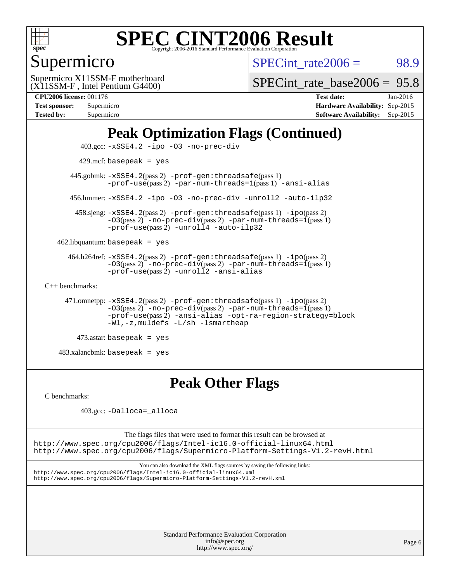

### Supermicro

 $SPECTnt_rate2006 = 98.9$ 

(X11SSM-F , Intel Pentium G4400) Supermicro X11SSM-F motherboard

[SPECint\\_rate\\_base2006 =](http://www.spec.org/auto/cpu2006/Docs/result-fields.html#SPECintratebase2006) 95.8

| <b>Test sponsor:</b> | Supermicro |
|----------------------|------------|
| <b>Tested by:</b>    | Supermicro |

**[CPU2006 license:](http://www.spec.org/auto/cpu2006/Docs/result-fields.html#CPU2006license)** 001176 **[Test date:](http://www.spec.org/auto/cpu2006/Docs/result-fields.html#Testdate)** Jan-2016 **[Hardware Availability:](http://www.spec.org/auto/cpu2006/Docs/result-fields.html#HardwareAvailability)** Sep-2015 **[Software Availability:](http://www.spec.org/auto/cpu2006/Docs/result-fields.html#SoftwareAvailability)** Sep-2015

## **[Peak Optimization Flags \(Continued\)](http://www.spec.org/auto/cpu2006/Docs/result-fields.html#PeakOptimizationFlags)**

```
 403.gcc: -xSSE4.2 -ipo -O3 -no-prec-div
         429.mcf: basepeak = yes
       445.gobmk: -xSSE4.2(pass 2) -prof-gen:threadsafe(pass 1)
                -prof-use(pass 2) -par-num-threads=1(pass 1) -ansi-alias
       456.hmmer: -xSSE4.2 -ipo -O3 -no-prec-div -unroll2 -auto-ilp32
        458.sjeng: -xSSE4.2(pass 2) -prof-gen:threadsafe(pass 1) -ipo(pass 2)
                -O3(pass 2) -no-prec-div(pass 2) -par-num-threads=1(pass 1)
                -prof-use-unroll4-auto-ilp32
    462.libquantum: basepeak = yes
      464.h264ref: -xSSE4.2(pass 2) -prof-gen:threadsafe(pass 1) -ipo(pass 2)
                -03(pass 2)-no-prec-div-par-num-threads=1(pass 1)
                -prof-use(pass 2) -unroll2 -ansi-alias
C++ benchmarks: 
      471.omnetpp: -xSSE4.2(pass 2) -prof-gen:threadsafe(pass 1) -ipo(pass 2)
                -O3(pass 2) -no-prec-div(pass 2) -par-num-threads=1(pass 1)
                -prof-use(pass 2) -ansi-alias -opt-ra-region-strategy=block
                -Wl,-z,muldefs -L/sh -lsmartheap
         473.astar: basepeak = yes
```
483.xalancbmk: basepeak = yes

### **[Peak Other Flags](http://www.spec.org/auto/cpu2006/Docs/result-fields.html#PeakOtherFlags)**

[C benchmarks](http://www.spec.org/auto/cpu2006/Docs/result-fields.html#Cbenchmarks):

403.gcc: [-Dalloca=\\_alloca](http://www.spec.org/cpu2006/results/res2016q1/cpu2006-20160107-38631.flags.html#b403.gcc_peakEXTRA_CFLAGS_Dalloca_be3056838c12de2578596ca5467af7f3)

The flags files that were used to format this result can be browsed at <http://www.spec.org/cpu2006/flags/Intel-ic16.0-official-linux64.html> <http://www.spec.org/cpu2006/flags/Supermicro-Platform-Settings-V1.2-revH.html>

You can also download the XML flags sources by saving the following links: <http://www.spec.org/cpu2006/flags/Intel-ic16.0-official-linux64.xml> <http://www.spec.org/cpu2006/flags/Supermicro-Platform-Settings-V1.2-revH.xml>